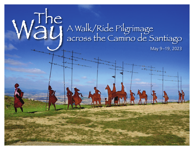# Way A Walk/Ride Pilgrimage across the Camino de Santiago

May 9–19, 2023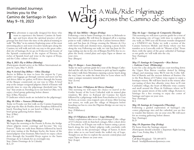### Illuminated Journeys invites you to the Camino de Santiago in Spain May 9–19, 2023

This adventure is especially designed for those who want to experience the historic Camino de Santi-<br>ago and learn about the spiritual practice of pil-<br>grimage but don't have the time or the physical training to want to experience the historic Camino de Santiago and learn about the spiritual practice of pilgrimage but don't have the time or the physical training to walk "TheWay" in its entirety.Exploring some of the most interesting places and most evocative landscapes along the Camino,we will walk and ride our way to the great cathedral city of Santiago.As we go,we'll discover the beauty of the Spanish countryside in the region of Navarra, the riches of Spanish food and wine in the region of Rioja, and the Celtic culture of Galicia

### *May 8, 2023: Fly to Bilbao (Monday)*

(Participants should arrive at the Bilbao International airport by 2 pm, May 9, 2023)

### *May 9:Arrival Day Bilbao – Olite (Tuesday)*

Arrive in Bilbao in time to leave the airport by 2 pm, gather our luggage, go through customs and meet our bus and driver.After we gather, we'll drive through the beauty of the Basque countryside on our way to Olite. A brief stop at the unique octagonal pilgrim church of Eunate will provide time to cross the pilgrimage threshold into "the way" that awaits us.Traveling on to our hotel in Olite,we'll enjoy a brief group gathering before dinner.

Stay: (Olite, Navarra)

D (indicates which meals are included in the pilgrimage)

### *May 10: Olite – Navarra (Wednesday)*

Today we'll make our first walk on the Camino beginning high atop theAlto de Perdón above Pamplona followed by lunch.Traveling back to our hotel in Olite, we'll enjoy a brief group gathering before dinner. Stay: (Olite)

 $B; L; D$ 

### *May 11: Navarra – Rioja (Thursday)*

We begin the morning at the Puente la Reina, the bridge where pilgrim routes converge and become "the way Frances."Today we walk from Mañeru followed by lunch and wine tasting at the Bodegas Irache, the home of the famed pilgrim wine fountain.After lunch we enjoy a short drive through the beautiful Rioja region to the Santo Domingo de la Calzada for an overnight stay. Stay: (Santo Domingo de la Calzada) B; L; D

### *May 12: San Millán – Burgos (Friday)*

Following a visit in Santo Domingo, we drive to Belorado to buy lunch supplies.We will then be dropped off at a starting point to walk a fabled section of the Camino between Belorado and San Juan de Ortega crossing the Montes de Oca with forest trails and chestnut trees, enjoying a picnic lunch along the way. Following our walk, we visit San Juan de Ortega ending our day in the city of Burgos.You'll be free to explore the lovely central plaza and enjoy Tapas or dinner on your own.

Way across the Camino de S

Stay: (Burgos)

### B

### *May 13: Burgos – Leon (Saturday)*

Today we meet a private guide for a tour of the Burgos Cathedral and the old city. On to Fromista to pick up lunch supplies for today's walk from Moratinos enjoying a picnic lunch along the way. Later, we make the short drive to Leon where we'll enjoy a unique monastery turned hotel.

Stay: (Leon)

 $B:D$ 

### *May 14: Leon –Villafranca del Bierzo (Sunday)*

This morning we will enjoy the chance to marvel at the Gothic beauty of the Leon Cathedral with its stained glass windows. We drive to Rabanal del Camino for lunch followed by a pilgrimage walk from Foncebadon to La Cruz de Ferro,an iconic cross-topped cairn of stone.After leaving our stones, we walk past the village of Manjarin before boarding our bus to cross the Pilgrims Bridge on our way to Ponferrada.

Stay: (Villafranca)  $B: D$ 

### *May 15:Villafranca del Bierzo – Lugo (Monday)*

Today's exploration takes us to the picturesque Celtic village of O Cebreiro with its thatched cottages.After a short drive toTriacastela, we'll begin our walk to Samos eating a picnic lunch along the way.Today's pilgrim walk concludes with time to relax in the picturesque village of Samos. A short drive takes us to our hotel inside the walled city of Lugo. Tonight you are free to explore the ancient central plaza and enjoyTapas or dinner on your own. Stay: (Lugo)

B

### *May 16: Lugo – Santiago de Compostela (Tuesday)*

This morning we will meet a private guide for a tour of the fascinating city of Lugo with time to explore the city walls,an 1800 year old Roman wonder designated as a UNESCO site. Today we walk a section of the Camino between Melide and Arzúa where our bus transfers us to Lavocolla with its "Mount of Joy." From there, with the spires of the great cathedral of Santiago as our guide, we will walk into the city. Stay: (Santiago)

B; D

across the Camino de Santiago

### *May 17: Santiago de Compostela – Rias Baixas – Galician Coast (Wednesday)*

Leave for a day along the Galician coast traveling down the Upper Rias Baixas coastline dotted by fishing villages and stunning vistas.We'll visit the Celtic hillfort of Baroña and the ancient dolmen of Axeitos. On to the Rias Baixas of O Salnes wine region to enjoy a boutique winery. We will have lunch in the winery after our tasting of their fine albariño wine then we'll visit Cambados village, the heart of Albariño wine country and stroll around the Plaza de Fefiñanes where we'll enjoy the quaint streets of this noble village. Return to Santiago for a free evening to enjoy the center of Santiago and tapas on your own. Stay: (Santiago)

 $B;L$ 

### *May 18: Santiago de Compostela (Thursday)*

Following a guided exploration of Santiago's city center, pilgrimage sites and the cathedral, you are free to wander this historic city on your own.We will meet for an evening gathering before dinner. Stay: (Santiago)

 $B: D$ 

### *May 19: Departure Day (Friday)*

Fly home from the Santiago airport. (Participants should schedule a departure flight leaving after 9 am, Friday, May 5, 2023)

### *Questions?*

Call Brad Berglund: 720.489.8073 Email: brad@illuminatedjourneys.com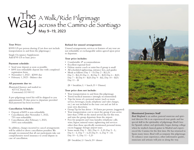## Way A Walk/Ride Pilgrimage across the Camino de Santiago May 9–19, 2023

### **Tour Price:**

\$3995 US per person sharing (Cost does not include transportation to and from the pilgrimage.)

Single Occupancy Supplement: Add \$795 US to basic price

### **Payment schedule:**

- Send your deposit as soon as possible.
- \$495 non-refundable deposit due with completed registration form.
- November 1, 2022 \$2000 due
- February 1, 2023 Balance due

### **All payments due to:**

*Illuminated Journeys* and mailed to: 8273 E. Davies Ave. Centennial, CO 80112

A pre-pilgrimage travel kit will be shipped to you approximately 25 days prior to departure provided final payment has been received.

### **Cancellation Schedule:**

- Deposit of \$495 is non-refundable.
- Cancellations after November 1, 2022, 75% non-refundable.
- Cancellations after February 1, 2023, 100% non-refundable.

In addition, charges incurred to cancel arrangements will be added to above cancellation penalties.We strongly recommend that all our participants take out comprehensive travel insurance to avoid dispute in case of cancellation.

### **Refund for unused arrangements:**

Unused arrangements, services or features of any tour are not refundable or exchangeable unless agreed upon prior to departure.

### **Tour price includes:**

- Comfortable 4<sup>\*</sup> accommodations
- Excellent regional food
- Deluxe motor coach or mini-bus if group is small
- All scheduled sightseeing, entrance fees, and guides
- Meals as follows: Day  $1 D$ ; Day  $2 B$ , L, D; Day 3 - B,L,D; Day 4 - B; Day 5 – B,D, Day 6 – B,D; Day  $7 - B$ ; Day  $8 - B$ , D; Day  $9 - B$ , L; Day  $10 - B$ , D; Day  $11 - B$

 $(B = \text{breakfast}, L = \text{lunch}, D = \text{Dinner})$ 

### **Tour price does not include:**

- Your transportation to and from this pilgrimage.
- Travel/medical insurance (strongly recommended)
- Tips for items of a personal nature (such as room service, beverages, meals, telephone and valet charges, etc.) are not included in the tour cost and are left to your own discretion.
- Group Tip for bus driver 30 Euros per person. (suggested)
- Your transportation cost to meet the group if you arrive later than 2 PM on the stated arrival day for this tour, and miss the group departure from the airport.
- Fees for passports and visas; laundry; telephone calls; wine, liquor, mineral water; sightseeing and services other than those specifically mentioned; personal items; excess baggage: foreign airport taxes
- Some meals: Day  $1 B,L$ ; Day  $4 L,D$ ; Day  $5 L$ ; Day  $6 - L$ ; Day  $7 - L$ , D; Day  $8 - L$ ; Day  $9 - D$ ; Day  $10 - L$ ; Day  $11 - L$ , D

 $(B=$  breakfast,  $L=$  lunch,  $D=$  dinner



### **Illuminated Journeys Staff**

*Brad Berglund* is an author, pastoral musician and spiritual director. He is an experienced tour guide and has special skill in the spirituality of pilgrimage.Brad's love for Spanish culture and spirituality began during college when he studied classical guitar in Madrid and experienced the Camino for the first time. He has returned to Spain many times. Brad will accompany this pilgrimage. To enhance your experience, other informative guides, musicians and artisans will join us along the way.